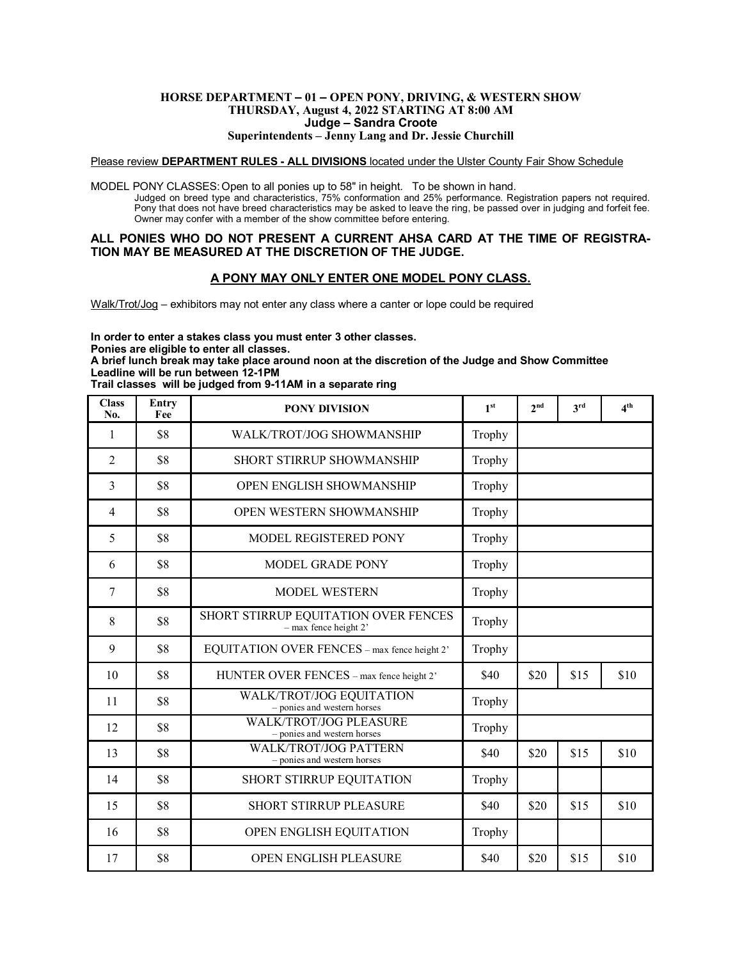#### **HORSE DEPARTMENT – 01 – OPEN PONY, DRIVING, & WESTERN SHOW THURSDAY, August 4, 2022 STARTING AT 8:00 AM Judge – Sandra Croote Superintendents – Jenny Lang and Dr. Jessie Churchill**

#### Please review **DEPARTMENT RULES - ALL DIVISIONS** located under the Ulster County Fair Show Schedule

MODEL PONY CLASSES:Open to all ponies up to 58" in height. To be shown in hand. Judged on breed type and characteristics, 75% conformation and 25% performance. Registration papers not required. Pony that does not have breed characteristics may be asked to leave the ring, be passed over in judging and forfeit fee. Owner may confer with a member of the show committee before entering.

### **ALL PONIES WHO DO NOT PRESENT A CURRENT AHSA CARD AT THE TIME OF REGISTRA-TION MAY BE MEASURED AT THE DISCRETION OF THE JUDGE.**

### **A PONY MAY ONLY ENTER ONE MODEL PONY CLASS.**

Walk/Trot/Jog – exhibitors may not enter any class where a canter or lope could be required

**In order to enter a stakes class you must enter 3 other classes.**

**Ponies are eligible to enter all classes.**

**A brief lunch break may take place around noon at the discretion of the Judge and Show Committee Leadline will be run between 12-1PM**

**Trail classes will be judged from 9-11AM in a separate ring**

| <b>Class</b><br>No. | Entry<br>Fee | <b>PONY DIVISION</b>                                               | 1 <sup>st</sup> | 2 <sup>nd</sup> | 3rd  | 4 <sup>th</sup> |
|---------------------|--------------|--------------------------------------------------------------------|-----------------|-----------------|------|-----------------|
| 1                   | \$8          | <b>WALK/TROT/JOG SHOWMANSHIP</b>                                   | Trophy          |                 |      |                 |
| $\overline{2}$      | \$8          | <b>SHORT STIRRUP SHOWMANSHIP</b>                                   | Trophy          |                 |      |                 |
| 3                   | \$8          | OPEN ENGLISH SHOWMANSHIP                                           | Trophy          |                 |      |                 |
| 4                   | \$8          | <b>OPEN WESTERN SHOWMANSHIP</b>                                    | Trophy          |                 |      |                 |
| 5                   | \$8          | MODEL REGISTERED PONY                                              | Trophy          |                 |      |                 |
| 6                   | \$8          | <b>MODEL GRADE PONY</b>                                            | Trophy          |                 |      |                 |
| 7                   | \$8          | <b>MODEL WESTERN</b>                                               | Trophy          |                 |      |                 |
| 8                   | \$8          | SHORT STIRRUP EQUITATION OVER FENCES<br>$-$ max fence height $2$ ' | Trophy          |                 |      |                 |
| 9                   | \$8          | EQUITATION OVER FENCES - max fence height 2'                       | Trophy          |                 |      |                 |
| 10                  | \$8          | HUNTER OVER FENCES - max fence height 2'                           | \$40            | \$20            | \$15 | \$10            |
| 11                  | \$8          | WALK/TROT/JOG EQUITATION<br>- ponies and western horses            | Trophy          |                 |      |                 |
| 12                  | \$8          | <b>WALK/TROT/JOG PLEASURE</b><br>- ponies and western horses       | Trophy          |                 |      |                 |
| 13                  | \$8          | <b>WALK/TROT/JOG PATTERN</b><br>- ponies and western horses        | \$40            | \$20            | \$15 | \$10            |
| 14                  | \$8          | SHORT STIRRUP EQUITATION                                           | Trophy          |                 |      |                 |
| 15                  | \$8          | <b>SHORT STIRRUP PLEASURE</b>                                      | \$40            | \$20            | \$15 | \$10            |
| 16                  | \$8          | OPEN ENGLISH EQUITATION                                            | Trophy          |                 |      |                 |
| 17                  | \$8          | <b>OPEN ENGLISH PLEASURE</b>                                       | \$40            | \$20            | \$15 | \$10            |